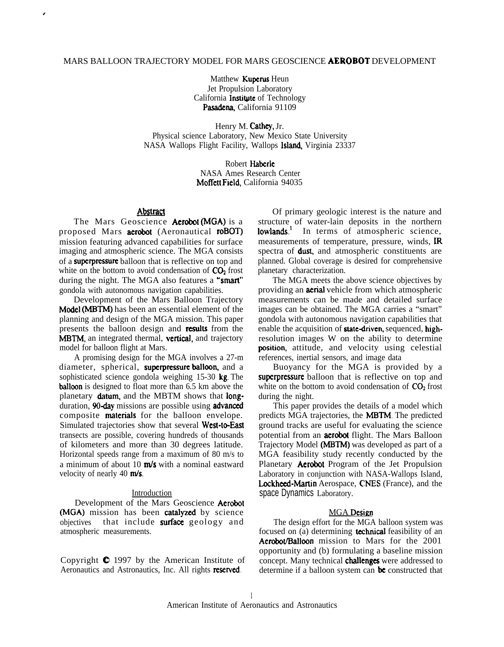### MARS BALLOON TRAJECTORY MODEL FOR MARS GEOSCIENCE AEROBOT DEVELOPMENT

Matthew **Kuperus** Heun Jet Propulsion Laboratory California Institute of Technology Pasadena, California 91109

Henry M. Cathey, Jr. Physical science Laboratory, New Mexico State University NASA Wallops Flight Facility, Wallops Island, Virginia 23337

> Robert Haberle NASA Ames Research Center Moffett Field, California 94035

### Abstract

,

The Mars Geoscience **Aerobot (MGA)** is a proposed Mars **aerobot** (Aeronautical **roBOT)** mission featuring advanced capabilities for surface imaging and atmospheric science. The MGA consists of a superpressure balloon that is reflective on top and white on the bottom to avoid condensation of  $CO<sub>2</sub>$  frost during the night. The MGA also features a "smart" gondola with autonomous navigation capabilities.

Development of the Mars Balloon Trajectory Model (MBTM) has been an essential element of the planning and design of the MGA mission. This paper presents the balloon design and results from the MBTM, an integrated thermal, vertical, and trajectory model for balloon flight at Mars.

A promising design for the MGA involves a 27-m diameter, spherical, superpressure balloon, and a sophisticated science gondola weighing 15-30 kg. The balloon is designed to float more than 6.5 km above the planetary datum, and the MBTM shows that longduration, 90-day missions are possible using advanced composite materiats for the balloon envelope. Simulated trajectories show that several West-to-East transects are possible, covering hundreds of thousands of kilometers and more than 30 degrees latitude. Horizontal speeds range from a maximum of 80 m/s to a minimum of about 10  $m/s$  with a nominal eastward velocity of nearly 40  $m/s$ .

#### Introduction

Development of the Mars Geoscience Aerobot (MGA) mission has been catalyzed by science objectives that include surface geology and atmospheric measurements.

Copyright  $\bullet$  1997 by the American Institute of Aeronautics and Astronautics, Inc. All rights reserved.

Of primary geologic interest is the nature and structure of water-lain deposits in the northern lowlands.<sup>1</sup> In terms of atmospheric science, measurements of temperature, pressure, winds, IR spectra of dust, and atmospheric constituents are planned. Global coverage is desired for comprehensive planetary characterization.

The MGA meets the above science objectives by providing an aeriat vehicle from which atmospheric measurements can be made and detailed surface images can be obtained. The MGA carries a "smart" gondola with autonomous navigation capabilities that enable the acquisition of **state-driven**, sequenced, highresolution images W on the ability to determine position, attitude, and velocity using celestial references, inertial sensors, and image data

Buoyancy for the MGA is provided by a superpressure balloon that is reflective on top and white on the bottom to avoid condensation of  $CO<sub>2</sub>$  frost during the night.

This paper provides the details of a model which predicts MGA trajectories, the MBTM. The predicted ground tracks are useful for evaluating the science potential from an **aerobot** flight. The Mars Balloon Trajectory Model (MBTM) was developed as part of a MGA feasibility study recently conducted by the Planetary **Aerobot** Program of the Jet Propulsion Laboratory in conjunction with NASA-Wallops Island, Lockheed-Martin Aerospace, CNES (France), and the space Dynamics Laboratory.

#### **MGA** Design

The design effort for the MGA balloon system was focused on (a) determining **technical** feasibility of an Aerobot/Balloon mission to Mars for the 2001 opportunity and (b) formulating a baseline mission concept. Many technical challenges were addressed to determine if a balloon system can be constructed that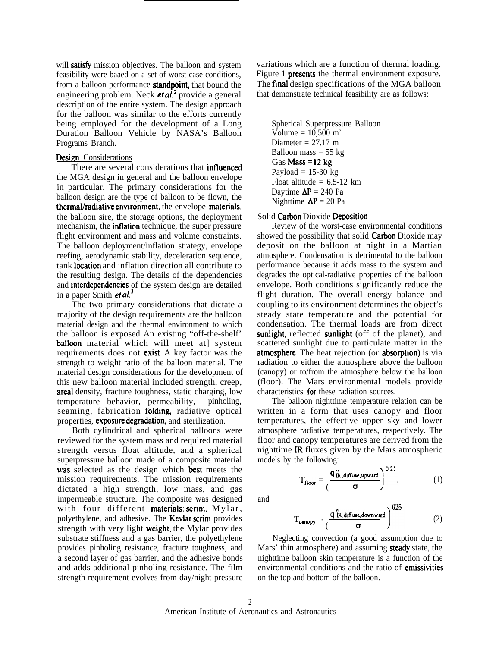will satisfy mission objectives. The balloon and system feasibility were baaed on a set of worst case conditions, from a balloon performance **standpoint**, that bound the engineering problem. Neck *et al.*<sup>2</sup> provide a general description of the entire system. The design approach for the balloon was similar to the efforts currently being employed for the development of a Long Duration Balloon Vehicle by NASA's Balloon Programs Branch.

## Design Considerations

There are several considerations that **influenced** the MGA design in general and the balloon envelope in particular. The primary considerations for the balloon design are the type of balloon to be flown, the thermal/radiative environment, the envelope materials, the balloon sire, the storage options, the deployment mechanism, the **inflation** technique, the super pressure flight environment and mass and volume constraints. The balloon deployment/inflation strategy, envelope reefing, aerodynamic stability, deceleration sequence, tank **location** and inflation direction all contribute to the resulting design. The details of the dependencies and interdependencies of the system design are detailed in a paper Smith et  $al^3$ 

The two primary considerations that dictate a majority of the design requirements are the balloon material design and the thermal environment to which the balloon is exposed An existing "off-the-shelf' balloon material which will meet at] system requirements does not exist, A key factor was the strength to weight ratio of the balloon material. The material design considerations for the development of this new balloon material included strength, creep, areal density, fracture toughness, static charging, low temperature behavior, permeability, pinholing, seaming, fabrication folding, radiative optical properties, exposure degradation, and sterilization.

Both cylindrical and spherical balloons were reviewed for the system mass and required material strength versus float altitude, and a spherical superpressure balloon made of a composite material was selected as the design which best meets the mission requirements. The mission requirements dictated a high strength, low mass, and gas impermeable structure. The composite was designed with four different materials:  $scrim$ , Mylar, polyethylene, and adhesive. The Kevlar scrim provides strength with very light weight, the Mylar provides substrate stiffness and a gas barrier, the polyethylene provides pinholing resistance, fracture toughness, and a second layer of gas barrier, and the adhesive bonds and adds additional pinholing resistance. The film strength requirement evolves from day/night pressure

variations which are a function of thermal loading. Figure 1 presents the thermal environment exposure. The final design specifications of the MGA balloon that demonstrate technical feasibility are as follows:

Spherical Superpressure Balloon Volume =  $10,500 \text{ m}^3$ Diameter  $= 27.17$  m Balloon mass  $= 55$  kg Gas Mass =  $12 kg$ Payload  $= 15-30$  kg Float altitude =  $6.5-12$  km Daytime  $\Delta P = 240$  Pa Nighttime  $\Delta P = 20$  Pa

### Solid Carbon Dioxide Deposition

Review of the worst-case environmental conditions showed the possibility that solid Carbon Dioxide may deposit on the balloon at night in a Martian atmosphere. Condensation is detrimental to the balloon performance because it adds mass to the system and degrades the optical-radiative properties of the balloon envelope. Both conditions significantly reduce the flight duration. The overall energy balance and coupling to its environment determines the object's steady state temperature and the potential for condensation. The thermal loads are from direct sunlight, reflected sunlight (off of the planet), and scattered sunlight due to particulate matter in the atmosphere. The heat rejection (or absorption) is via radiation to either the atmosphere above the balloon (canopy) or to/from the atmosphere below the balloon (floor). The Mars environmental models provide characteristics for these radiation sources.

The balloon nighttime temperature relation can be written in a form that uses canopy and floor temperatures, the effective upper sky and lower atmosphere radiative temperatures, respectively. The floor and canopy temperatures are derived from the models by the following:  $0.25$ 

\n no of the Mars at the mass of the Mars at the mass of the following:\n 
$$
T_{\text{floor}} = \left( \frac{q_{\text{IR},\text{diffuse},\text{upward}}^{\text{w}}}{\sigma} \right)^{0.25},\n \tag{1}
$$
\n and\n

and

T<sub>cunopy</sub> 
$$
\frac{q \text{ 'R. diffuse-downwred}}{(\frac{\sigma}{\sigma})} \bigg)^{0.25}
$$
 Neglecting convection (a good assumption due to

Mars' thin atmosphere) and assuming **steady** state, the nighttime balloon skin temperature is a function of the environmental conditions and the ratio of emissivities on the top and bottom of the balloon.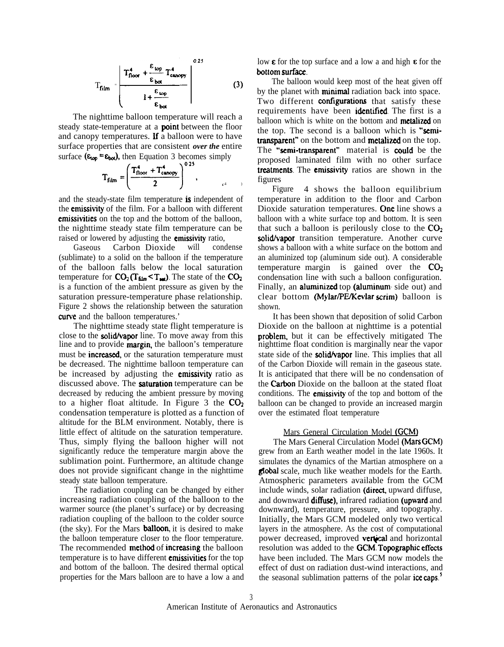$$
T_{film} = \frac{\left| T_{floor}^4 + \frac{\epsilon_{top}}{\epsilon_{bot}} T_{c,\text{anopy}}^4 \right|^{0.25}}{1 + \frac{\epsilon_{top}}{\epsilon_{bot}}} \qquad (3)
$$

The nighttime balloon temperature will reach a steady state-temperature at a **point** between the floor and canopy temperatures. If a balloon were to have surface properties that are consistent *over the* entire surface ( $\epsilon_{\text{top}} = \epsilon_{\text{bot}}$ ), then Equation 3 becomes simply

$$
T_{film} = \left(\frac{T_{floor}^4 + T_{canopy}^4}{2}\right)^{0.25}, \qquad \qquad \frac{1}{4}
$$

and the steady-state film temperature is independent of the emissivity of the film. For a balloon with different emissivities on the top and the bottom of the balloon, the nighttime steady state film temperature can be raised or lowered by adjusting the emissivity ratio,

Gaseous Carbon Dioxide will condense (sublimate) to a solid on the balloon if the temperature of the balloon falls below the local saturation temperature for  $CO_2(T_{\text{film}} < T_{\text{m}})$ . The state of the  $CO_2$ is a function of the ambient pressure as given by the saturation pressure-temperature phase relationship. Figure 2 shows the relationship between the saturation curve and the balloon temperatures.'

The nighttime steady state flight temperature is close to the **solid/vapor** line. To move away from this line and to provide **margin**, the balloon's temperature must be **increased**, or the saturation temperature must be decreased. The nighttime balloon temperature can be increased by adjusting the **emissivity** ratio as discussed above. The saturation temperature can be decreased by reducing the ambient pressure by moving to a higher float altitude. In Figure 3 the  $CO<sub>2</sub>$ condensation temperature is plotted as a function of altitude for the BLM environment. Notably, there is little effect of altitude on the saturation temperature. Thus, simply flying the balloon higher will not significantly reduce the temperature margin above the sublimation point. Furthermore, an altitude change does not provide significant change in the nighttime steady state balloon temperature.

The radiation coupling can be changed by either increasing radiation coupling of the balloon to the warmer source (the planet's surface) or by decreasing radiation coupling of the balloon to the colder source (the sky). For the Mars **balloon**, it is desired to make the balloon temperature closer to the floor temperature. The recommended **method** of **increasing** the balloon temperature is to have different **emissivities** for the top and bottom of the balloon. The desired thermal optical properties for the Mars balloon are to have a low a and

low  $\epsilon$  for the top surface and a low a and high  $\epsilon$  for the bottom surface.

The balloon would keep most of the heat given off by the planet with **minimal** radiation back into space. Two different **configurations** that satisfy these requirements have been identified. The first is a balloon which is white on the bottom and **metalized** on the top. The second is a balloon which is "semitransparent" on the bottom and metalized on the top. The "semi-transparent" material is could be the proposed laminated film with no other surface treatments. The emissivity ratios are shown in the figures

Figure 4 shows the balloon equilibrium temperature in addition to the floor and Carbon Dioxide saturation temperatures. One line shows a balloon with a white surface top and bottom. It is seen that such a balloon is perilously close to the  $CO<sub>2</sub>$ solid/vapor transition temperature. Another curve shows a balloon with a white surface on the bottom and an aluminized top (aluminum side out). A considerable temperature margin is gained over the  $CO<sub>2</sub>$ condensation line with such a balloon configuration. Finally, an **aluminized** top (**aluminum** side out) and clear bottom (Mylar/PE/Kevlar scrim) balloon is shown.

It has been shown that deposition of solid Carbon Dioxide on the balloon at nighttime is a potential problem, but it can be effectively mitigated The nighttime float condition is marginally near the vapor state side of the **solid/vapor** line. This implies that all of the Carbon Dioxide will remain in the gaseous state. It is anticipated that there will be no condensation of the **Carbon** Dioxide on the balloon at the stated float conditions. The **emissivity** of the top and bottom of the balloon can be changed to provide an increased margin over the estimated float temperature

## Mars General Circulation Model (GCM)

The Mars General Circulation Model (Mars GCM) grew from an Earth weather model in the late 1960s. It simulates the dynamics of the Martian atmosphere on a gtobal scale, much like weather models for the Earth. Atmospheric parameters available from the GCM include winds, solar radiation (direct, upward diffuse, and downward **diffuse**), infrared radiation (upward and downward), temperature, pressure, and topography. Initially, the Mars GCM modeled only two vertical layers in the atmosphere. As the cost of computational power decreased, improved **vertical** and horizontal resolution was added to the **GCM**. **Topographic effects** have been included. The Mars GCM now models the effect of dust on radiation dust-wind interactions, and the seasonal sublimation patterns of the polar ice caps.<sup>5</sup>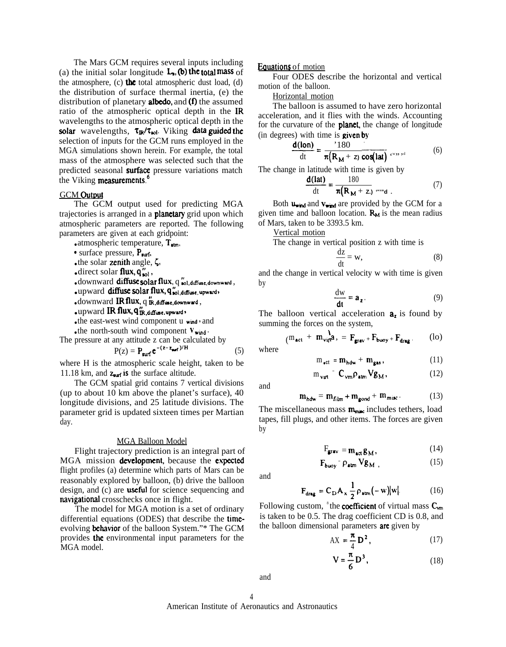The Mars GCM requires several inputs including (a) the initial solar longitude  $\mathbf{L}_n$ , (b) the total mass of the atmosphere,  $(c)$  the total atmospheric dust load,  $(d)$ the distribution of surface thermal inertia, (e) the distribution of planetary **albedo**, and  $(f)$  the assumed ratio of the atmospheric optical depth in the IR wavelengths to the atmospheric optical depth in the solar wavelengths,  $\tau_{IR}/\tau_{sol}$ . Viking data guided the selection of inputs for the GCM runs employed in the MGA simulations shown herein. For example, the total mass of the atmosphere was selected such that the predicted seasonal **surface** pressure variations match the Viking measurements.<sup>6</sup>

## **GCM** Output

The GCM output used for predicting MGA trajectories is arranged in a **planetary** grid upon which atmospheric parameters are reported. The following parameters are given at each gridpoint:

• atmospheric temperature,  $T_{atm}$ ,

- $\bullet$  surface pressure,  $P_{\text{surf}}$ .
- the solar zenith angle,  $\zeta$ ,
- direct solar flux,  $q''_{\text{sol}}$ ,
- $\bullet$  downward diffuse solar flux,  $q \cdot$  sol, diffuse, downward,
- $\bullet$  upward diffuse solar flux,  $q''_{\text{sol,diffuse, upward}}$
- $\bullet$  downward IR flux,  $q$   $\text{'R}_i$ , diffuse, downward,
- $\bullet$  upward  ${ \mathop{\mathrm{I\mathrel{R}$   $\mathop{\mathrm{flu}}\nolimits} x, q''_{\mathop{\mathrm{I\mathrel{R}}\nolimits}, \mathop{\mathrm{diffuse}\nolimits}, \mathop{\mathrm{upward}}\nolimits} }$
- the east-west wind component u wind, and

• the north-south wind component  $v_{wind}$ .

The pressure at any attitude z can be calculated by

$$
P(z) = P_{\text{surf}} e^{-(z - z_{\text{ref}})^{t}H}
$$
 (5)

where H is the atmospheric scale height, taken to be 11.18 km, and  $z_{\text{surf}}$  is the surface altitude.

The GCM spatial grid contains 7 vertical divisions (up to about 10 km above the planet's surface), 40 longitude divisions, and 25 latitude divisions. The parameter grid is updated sixteen times per Martian day.

#### MGA Balloon Model

Flight trajectory prediction is an integral part of MGA mission development, because the expected flight profiles (a) determine which parts of Mars can be reasonably explored by balloon, (b) drive the balloon design, and (c) are **useful** for science sequencing and navigational crosschecks once in flight.

The model for MGA motion is a set of ordinary differential equations (ODES) that describe the timeevolving **behavior** of the balloon System."\* The GCM provides the environmental input parameters for the MGA model.

#### Eauations of motion

Four ODES describe the horizontal and vertical motion of the balloon.

Horizontal motion

The balloon is assumed to have zero horizontal acceleration, and it flies with the winds. Accounting for the curvature of the **planet**, the change of longitude (in degrees) with time is **given by**<br>  $\frac{d(\text{lon})}{d(\text{lon})} = \frac{180}{180}$ 

$$
\frac{\mathbf{d}(\mathbf{lon})}{\mathrm{dt}} = \frac{180}{\pi (\mathbf{R_M} + \mathbf{z}) \cos(\mathbf{lat})} \dotsb \tag{6}
$$

The change in latitude with time is given by<br>  $\frac{d(lat)}{dt} = \frac{180}{4.5}$ 

$$
\frac{d(\text{lat})}{dt} = \frac{180}{\pi (R_M + z)} \text{ and } \qquad (7)
$$

Both  $u_{wind}$  and  $v_{wind}$  are provided by the GCM for a given time and balloon location.  $R_M$  is the mean radius of Mars, taken to be 3393.5 km.

Vertical motion

The change in vertical position z with time is

$$
\frac{\mathrm{d}z}{\mathrm{d}t} = w,\tag{8}
$$

and the change in vertical velocity w with time is given by

$$
\frac{\mathrm{d}w}{\mathrm{d}t} = a_z. \tag{9}
$$

The balloon vertical acceleration  $a_{\lambda}$  is found by summing the forces on the system,

$$
(\mathbf{m}_{\mathbf{a}\mathbf{c}\mathbf{t}} + \mathbf{m}_{\mathbf{v}\mathbf{u}\mathbf{r}}^{\mathbf{b}}\mathbf{a}) = \mathbf{F}_{\mathbf{gr}\mathbf{a}\mathbf{v}} + \mathbf{F}_{\mathbf{b}\mathbf{u}\mathbf{o}\mathbf{y}} + \mathbf{F}_{\mathbf{dr}\mathbf{a}\mathbf{g}}.
$$
 (lo)

where

$$
m_{\bullet ct} = m_{hdw} + m_{gas}, \qquad (11)
$$

$$
m_{\mathbf{v}\mathbf{u}\mathbf{t}} = \mathbf{C}_{\mathbf{v}\mathbf{m}} \rho_{\mathbf{at}\mathbf{m}} \mathbf{V} \mathbf{g}_{\mathbf{M}},\tag{12}
$$

and

$$
\mathbf{m}_{\mathbf{hdw}} = \mathbf{m}_{\mathbf{film}} + \mathbf{m}_{\mathbf{gond}} + \mathbf{m}_{\mathbf{misc}}.
$$
 (13)

The miscellaneous mass  $m_{\text{min}}$  includes tethers, load tapes, fill plugs, and other items. The forces are given by

$$
F_{\mathbf{grav}} = m_{\mathbf{act}} \mathbf{g}_M, \tag{14}
$$

$$
\mathbf{F}_{\text{buoy}} = \rho_{\text{atm}} \mathbf{V} \mathbf{g}_{\mathbf{M}} \tag{15}
$$

and

$$
\mathbf{F}_{\text{drag}} = \mathbf{C}_{\text{D}} \mathbf{A}_{\mathbf{x}} \frac{1}{2} \rho_{\text{atm}} (-\mathbf{w}) |\mathbf{w}|.
$$
 (16)

Following custom, <sup>8</sup>the **coefficient** of virtual mass  $C_{vm}$ is taken to be 0.5. The drag coefficient CD is 0.8, and the balloon dimensional parameters **are** given by

$$
AX = \frac{\pi}{4} D^2, \qquad (17)
$$

$$
V = \frac{\pi}{6} D^3,
$$
 (18)

and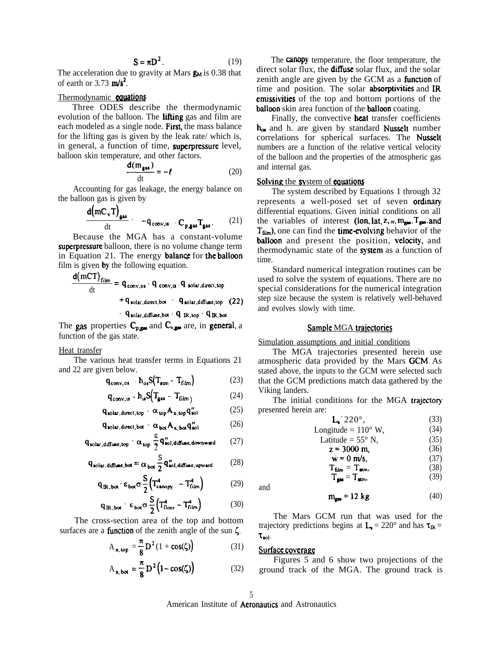$$
S = \pi D^2. \tag{19}
$$

The acceleration due to gravity at Mars  $g_M$  is 0.38 that of earth or  $3.73$  m/s<sup>2</sup>.

## Thermodynamic **equations**

Three ODES describe the thermodynamic evolution of the balloon. The **lifting** gas and film are each modeled as a single node. First, the mass balance for the lifting gas is given by the leak rate/ which is, in general, a function of time, superpressure level, balloon skin temperature, and other factors.

$$
\frac{d(m_{gas})}{dt} = -\ell \tag{20}
$$

Accounting for gas leakage, the energy balance on the balloon gas is given by

$$
\frac{d(mC_vT)_{gas}}{dt} = -q_{conv,is} + C_{p,gas}T_{gas}. \qquad (21)
$$

Because the MGA has a constant-volume superpressure balloon, there is no volume change term in Equation 21. The energy balance for the balloon film is given by the following equation.

$$
\frac{d(mCT)_{film}}{dt} = q_{conv, os} \cdot q_{conv, ts} \cdot q_{solar, direct, top}
$$
  
+  $q_{solar, direct, bot} \cdot q_{solar, diffuse, top} \cdot (22)$   
+  $q_{solar, diffuse, bot} \cdot q_{IR, top} \cdot q_{IR, bot}$ 

The gas properties  $C_{p, \text{gas}}$  and  $C_{v, \text{gas}}$  are, in general, a function of the gas state.

#### Heat transfer

The various heat transfer terms in Equations 21 and 22 are given below.

$$
\mathbf{q}_{\text{conv,os}} \cdot \mathbf{h}_{\text{os}} \mathbf{S} (\mathbf{T}_{\text{atm}} - \mathbf{T}_{\text{film}}) \tag{23}
$$

$$
\mathbf{q}_{\text{conv},\text{is}} = \mathbf{h}_{\text{is}} \mathbf{S} (\mathbf{T}_{\text{gas}} - \mathbf{T}_{\text{film}}) \tag{24}
$$

$$
\mathbf{q}_{\mathbf{solar}, \text{direct}, \text{top}} - \alpha_{\mathbf{top}} \mathbf{A}_{\mathbf{x}, \mathbf{top}} \mathbf{q}_{\mathbf{sol}}^{\prime\prime} \tag{25}
$$

$$
q_{\text{solar,direct,bot}} - \alpha_{\text{bot}} A_{x,\text{bot}} q''_{\text{sol}} \tag{26}
$$

$$
q_{\text{solar},\text{diffuse,top}} = \alpha_{\text{top}} \frac{s}{2} q_{\text{sol},\text{diffuse,downward}}^{\prime\prime} \qquad (27)
$$

$$
q_{\text{solar},\text{diffuse},\text{bot}} = \alpha_{\text{bot}} \frac{S}{2} q_{\text{sol},\text{diffuse},\text{upward}}^{\prime\prime} \tag{28}
$$

$$
q_{IR,bot} = \varepsilon_{bot} \sigma \frac{S}{2} \left( T_{cunopy}^4 - T_{film}^4 \right) \tag{29}
$$

$$
\mathbf{q}_{\mathbf{IR},\mathbf{bot}} = \varepsilon_{\mathbf{bot}} \sigma \frac{\mathbf{S}}{2} \Big( \mathbf{T}_{\text{floor}}^4 - \mathbf{T}_{\text{film}}^4 \Big) \tag{30}
$$

The cross-section area of the top and bottom surfaces are a **function** of the zenith angle of the sun  $\zeta$ .

$$
A_{\mathbf{x},\mathbf{top}} = \frac{\pi}{8} D^2 (1 + \cos(\zeta))
$$
 (31)

$$
A_{x,bot} = \frac{\pi}{8} D^2 (1 - \cos(\zeta))
$$
 (32)

The canopy temperature, the floor temperature, the direct solar flux, the **diffuse** solar flux, and the solar zenith angle are given by the GCM as a **function** of time and position. The solar **absorptivities** and  $\text{IR}$ ernissivities of the top and bottom portions of the balloon skin area function of the balloon coating.

Finally, the convective **heat** transfer coefficients  $h_{\alpha}$  and h. are given by standard Nusselt number correlations for spherical surfaces. The Nusselt numbers are a function of the relative vertical velocity of the balloon and the properties of the atmospheric gas and internal gas.

### Solving the system of equations

The system described by Equations 1 through 32 represents a well-posed set of seven **ordinary** differential equations. Given initial conditions on all the variables of interest (lon, lat,  $z$ ,  $w$ ,  $m_{gas}$ ,  $T_{gas}$ , and  $T_{\text{film}}$ ), one can find the **time-evolving** behavior of the balloon and present the position, velocity, and thermodynamic state of the system as a function of time.

Standard numerical integration routines can be used to solve the system of equations. There are no special considerations for the numerical integration step size because the system is relatively well-behaved and evolves slowly with time.

### Sample MGA trajectories

Simulation assumptions and initial conditions

The MGA trajectories presented herein use atmospheric data provided by the Mars GCM. As stated above, the inputs to the GCM were selected such that the GCM predictions match data gathered by the Viking landers.

The initial conditions for the MGA trajectory presented herein are:

| $L^{\dagger}220^{\circ}$ .         | (33) |
|------------------------------------|------|
| Longitude = $110^{\circ}$ W,       | (34) |
| Latitude = $55^{\circ}$ N,         | (35) |
| $z = 3000$ m,                      | (36) |
| $w = 0$ m/s.                       | (37) |
| $T_{film} = T_{atm}$               | (38) |
| $T_{\rm max} = T_{\rm atm}$        | (39) |
| $m_{\text{gas}} = 12 \text{ kg}$ . |      |

The Mars GCM run that was used for the trajectory predictions begins at  $L_2 = 220^\circ$  and has  $\tau_R =$  $\tau_{\text{sol}}$ .

#### Surface coverage

and

Figures 5 and 6 show two projections of the ground track of the MGA. The ground track is

American Institute of Aeronautics and Astronautics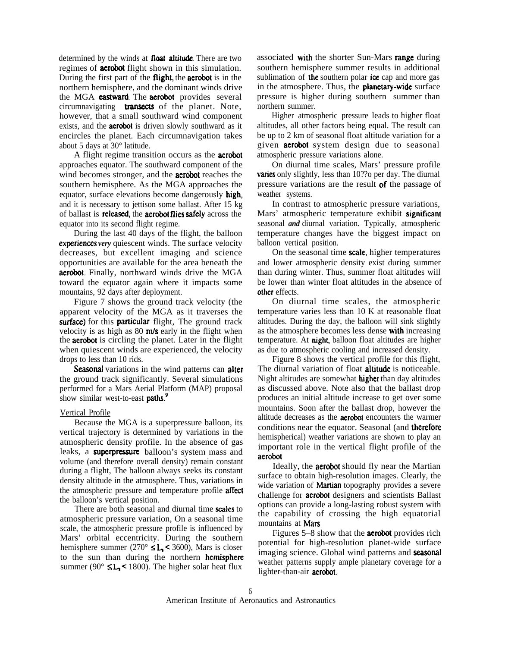determined by the winds at **float altitude**. There are two regimes of **aerobot** flight shown in this simulation. During the first part of the **flight**, the **aerobot** is in the northern hemisphere, and the dominant winds drive the MGA **castward**. The **aerobot** provides several circumnavigating **transects** of the planet. Note, however, that a small southward wind component exists, and the **aerobot** is driven slowly southward as it encircles the planet. Each circumnavigation takes about 5 days at 30° latitude.

A flight regime transition occurs as the **aerobot** approaches equator. The southward component of the wind becomes stronger, and the **aerobot** reaches the southern hemisphere. As the MGA approaches the equator, surface elevations become dangerously high, and it is necessary to jettison some ballast. After 15 kg of ballast is released, the aerobot flies safely across the equator into its second flight regime.

During the last 40 days of the flight, the balloon **experiences** very quiescent winds. The surface velocity decreases, but excellent imaging and science opportunities are available for the area beneath the aerobot. Finally, northward winds drive the MGA toward the equator again where it impacts some mountains, 92 days after deployment.

Figure 7 shows the ground track velocity (the apparent velocity of the MGA as it traverses the surface) for this particular flight, The ground track velocity is as high as  $80 \text{ m/s}$  early in the flight when the aerobot is circling the planet. Later in the flight when quiescent winds are experienced, the velocity drops to less than 10 rids.

Seasonal variations in the wind patterns can alter the ground track significantly. Several simulations performed for a Mars Aerial Platform (MAP) proposal show similar west-to-east **paths.**<sup>9</sup>

#### Vertical Profile

Because the MGA is a superpressure balloon, its vertical trajectory is determined by variations in the atmospheric density profile. In the absence of gas leaks, a **superpressure** balloon's system mass and volume (and therefore overall density) remain constant during a flight, The balloon always seeks its constant density altitude in the atmosphere. Thus, variations in the atmospheric pressure and temperature profile affect the balloon's vertical position.

There are both seasonal and diurnal time scales to atmospheric pressure variation, On a seasonal time scale, the atmospheric pressure profile is influenced by Mars' orbital eccentricity. During the southern hemisphere summer (270 $\degree$   $SL_5$  < 3600), Mars is closer to the sun than during the northern hemisphere summer (90 $\degree$  SL<sub>1</sub> < 1800). The higher solar heat flux

associated with the shorter Sun-Mars range during southern hemisphere summer results in additional sublimation of the southern polar  $\iota$  cap and more gas in the atmosphere. Thus, the **planetary-wide** surface pressure is higher during southern summer than northern summer.

Higher atmospheric pressure leads to higher float altitudes, all other factors being equal. The result can be up to 2 km of seasonal float altitude variation for a given aerobot system design due to seasonal atmospheric pressure variations alone.

On diurnal time scales, Mars' pressure profile varies only slightly, less than 10??o per day. The diurnal pressure variations are the result of the passage of weather systems.

In contrast to atmospheric pressure variations, Mars' atmospheric temperature exhibit significant seasonal *and* diurnal variation. Typically, atmospheric temperature changes have the biggest impact on balloon vertical position.

On the seasonal time scale, higher temperatures and lower atmospheric density exist during summer than during winter. Thus, summer float altitudes will be lower than winter float altitudes in the absence of other effects.

On diurnal time scales, the atmospheric temperature varies less than 10 K at reasonable float altitudes. During the day, the balloon will sink slightly as the atmosphere becomes less dense with increasing temperature. At night, balloon float altitudes are higher as due to atmospheric cooling and increased density.

Figure 8 shows the vertical profile for this flight, The diurnal variation of float **altitude** is noticeable. Night altitudes are somewhat higher than day altitudes as discussed above. Note also that the ballast drop produces an initial altitude increase to get over some mountains. Soon after the ballast drop, however the altitude decreases as the aerobot encounters the warmer conditions near the equator. Seasonal (and therefore hemispherical) weather variations are shown to play an important role in the vertical flight profile of the aerobot

Ideally, the aerobot should fly near the Martian surface to obtain high-resolution images. Clearly, the wide variation of Martian topography provides a severe challenge for aerobot designers and scientists Ballast options can provide a long-lasting robust system with the capability of crossing the high equatorial mountains at **Mars**.

Figures 5–8 show that the **aerobot** provides rich potential for high-resolution planet-wide surface imaging science. Global wind patterns and seasonal weather patterns supply ample planetary coverage for a lighter-than-air aerobot.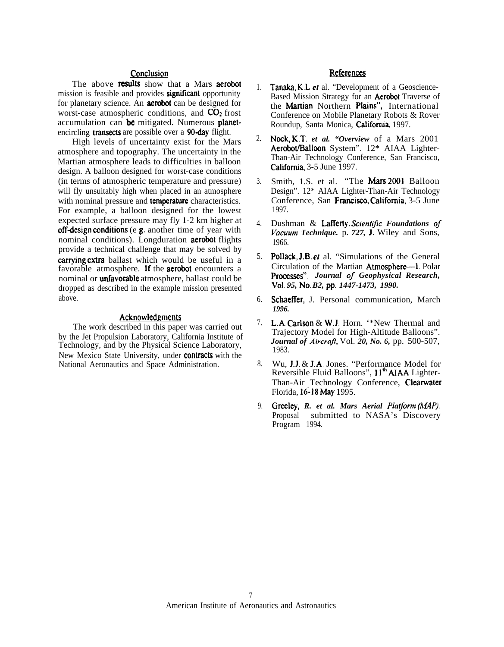## Conclusion

The above **results** show that a Mars **aerobot** mission is feasible and provides **significant** opportunity for planetary science. An aerobot can be designed for worst-case atmospheric conditions, and  $CO<sub>2</sub>$  frost accumulation can be mitigated. Numerous planetencircling **transects** are possible over a **90-day** flight.

High levels of uncertainty exist for the Mars atmosphere and topography. The uncertainty in the Martian atmosphere leads to difficulties in balloon design. A balloon designed for worst-case conditions (in terms of atmospheric temperature and pressure) will fly unsuitably high when placed in an atmosphere with nominal pressure and **temperature** characteristics. For example, a balloon designed for the lowest expected surface pressure may fly 1-2 km higher at off-design conditions (e.g. another time of year with nominal conditions). Longduration **aerobot** flights provide a technical challenge that may be solved by carrying extra ballast which would be useful in a favorable atmosphere. If the **aerobot** encounters a nominal or **unfavorable** atmosphere, ballast could be dropped as described in the example mission presented above.

# Acknowledgments

The work described in this paper was carried out by the Jet Propulsion Laboratory, California Institute of Technology, and by the Physical Science Laboratory, New Mexico State University, under contracts with the National Aeronautics and Space Administration.

# **References**

- 1. Tanaka, K.L. et al. "Development of a Geoscience-Based Mission Strategy for an **Aerobot** Traverse of the Martian Northern Plains", International Conference on Mobile Planetary Robots & Rover Roundup, Santa Monica, California, 1997.
- $\mathcal{D}$ Nock, K.T. et al. "Overview of a Mars 2001 Aerobot/Balloon System". 12\* AIAA Lighter-Than-Air Technology Conference, San Francisco, California. 3-5 June 1997.
- 3. Smith, 1.S. et al. "The Mars 2001 Balloon Design". 12\* AIAA Lighter-Than-Air Technology Conference, San Francisco, California, 3-5 June 1997.
- 4. Dushman & Lafferty. Scientific Foundations of *Vacuum Technique.* p. 727, J. Wiley and Sons, 1966.
- 5. Pollack, J.B. et al. "Simulations of the General Circulation of the Martian Atmosphere—1 Polar Processes". *Journal of Geophysical Research*, *Vo]. 95, No. B2, pp. 1447-1473, 1990.*
- 6. Schaeffer, J. Personal communication, March *1996.*
- 7. L.A. Carlson & W.J. Horn. '\*New Thermal and Trajectory Model for High-Altitude Balloons". *Journal of AircraJ?,* Vol. *20, No. 6,* pp. 500-507, 1983.
- 8. Wu, J.J. & J.A, Jones. "Performance Model for Reversible Fluid Balloons", 11<sup>th</sup> AJAA Lighter-Than-Air Technology Conference, Clearwater Florida, 16-18 May 1995.
- 9. Greeley, *R. et al. Mars Aerial Platjorm (M4P).* Proposal submitted to NASA's Discovery Program 1994.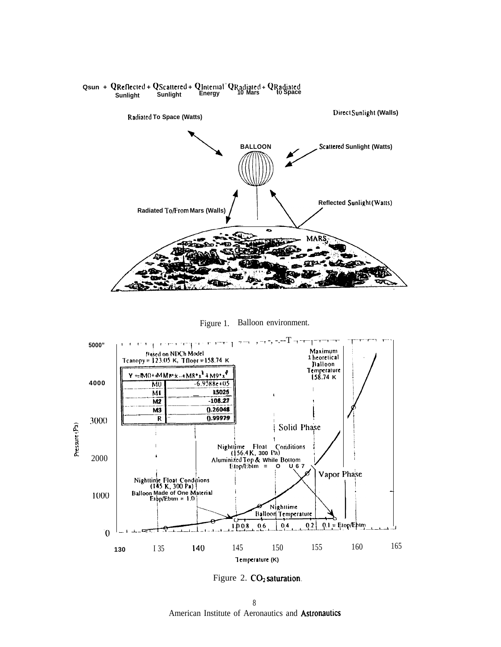

## Qsun + QReflected + QScattered + QInternal<sup>=</sup> QRadiated + QRadiated Sunlight Sunlight Energy 10 Mars 10 Space Sunlight





Figure 2. CO<sub>2</sub> saturation.

 $\,$   $\,$ American Institute of Aeronautics and Astronautics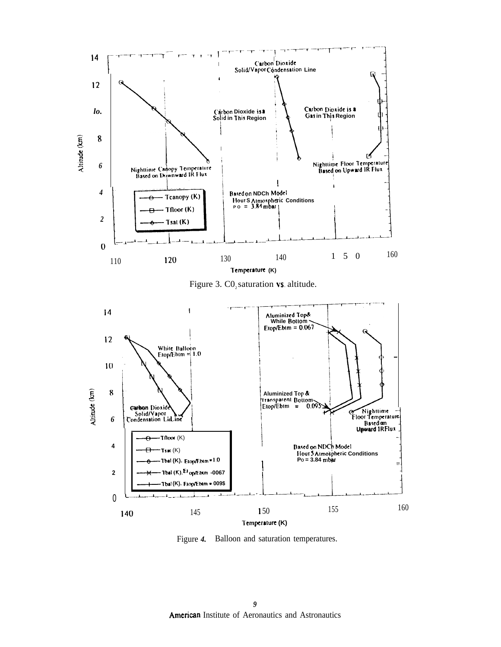

Figure 3.  $CO<sub>2</sub>$  saturation vs. altitude.



Figure 4. Balloon and saturation temperatures.